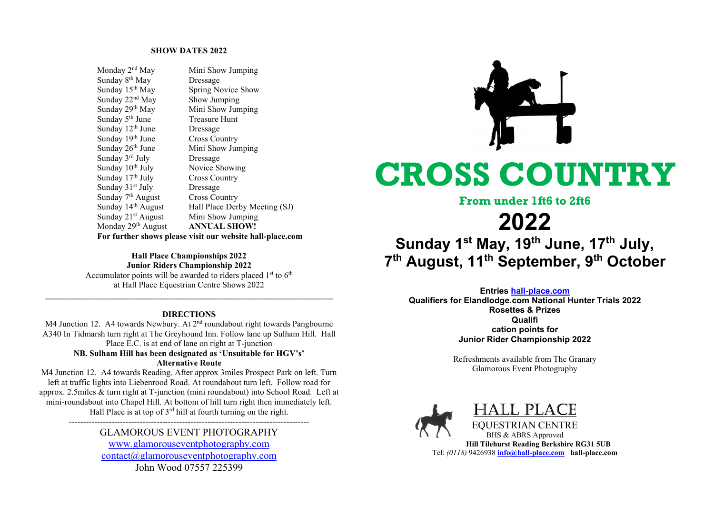#### SHOW DATES 2022

| Monday 2 <sup>nd</sup> May                                | Mini Show Jumping             |  |  |
|-----------------------------------------------------------|-------------------------------|--|--|
| Sunday 8 <sup>th</sup> May                                | Dressage                      |  |  |
| Sunday 15 <sup>th</sup> May                               | Spring Novice Show            |  |  |
| Sunday 22 <sup>nd</sup> May                               | Show Jumping                  |  |  |
| Sunday 29th May                                           | Mini Show Jumping             |  |  |
| Sunday 5 <sup>th</sup> June                               | Treasure Hunt                 |  |  |
| Sunday 12 <sup>th</sup> June                              | Dressage                      |  |  |
| Sunday 19th June                                          | <b>Cross Country</b>          |  |  |
| Sunday 26 <sup>th</sup> June                              | Mini Show Jumping             |  |  |
| Sunday 3rd July                                           | Dressage                      |  |  |
| Sunday 10 <sup>th</sup> July                              | Novice Showing                |  |  |
| Sunday 17th July                                          | <b>Cross Country</b>          |  |  |
| Sunday 31 <sup>st</sup> July                              | Dressage                      |  |  |
| Sunday 7 <sup>th</sup> August                             | <b>Cross Country</b>          |  |  |
| Sunday 14 <sup>th</sup> August                            | Hall Place Derby Meeting (SJ) |  |  |
| Sunday 21 <sup>st</sup> August                            | Mini Show Jumping             |  |  |
| Monday 29 <sup>th</sup> August                            | <b>ANNUAL SHOW!</b>           |  |  |
| For further shows please visit our website hall-place.com |                               |  |  |

## Hall Place Championships 2022 Junior Riders Championship 2022 Accumulator points will be awarded to riders placed  $1<sup>st</sup>$  to  $6<sup>th</sup>$ at Hall Place Equestrian Centre Shows 2022

\_\_\_\_\_\_\_\_\_\_\_\_\_\_\_\_\_\_\_\_\_\_\_\_\_\_\_\_\_\_\_\_\_\_\_\_\_\_\_\_\_\_\_\_\_\_\_\_\_\_\_\_\_\_\_\_\_\_\_\_\_\_\_\_\_\_\_\_

# DIRECTIONS

M4 Junction 12. A4 towards Newbury. At 2<sup>nd</sup> roundabout right towards Pangbourne A340 In Tidmarsh turn right at The Greyhound Inn. Follow lane up Sulham Hill. Hall Place E.C. is at end of lane on right at T-junction

### NB. Sulham Hill has been designated as 'Unsuitable for HGV's' Alternative Route

M4 Junction 12. A4 towards Reading. After approx 3miles Prospect Park on left. Turn left at traffic lights into Liebenrood Road. At roundabout turn left. Follow road for approx. 2.5miles & turn right at T-junction (mini roundabout) into School Road. Left at mini-roundabout into Chapel Hill. At bottom of hill turn right then immediately left. Hall Place is at top of  $3<sup>rd</sup>$  hill at fourth turning on the right.

# GLAMOROUS EVENT PHOTOGRAPHY

-------------------------------------------------------------------------------------

www.glamorouseventphotography.com  $contact(\partial g)$  glamorous eventphotography.com John Wood 07557 225399



# CROSS COUNTRY

# From under 1ft6 to 2ft6

# 2022

Sunday 1<sup>st</sup> May, 19<sup>th</sup> June, 17<sup>th</sup> July, 7<sup>th</sup> August, 11<sup>th</sup> September, 9<sup>th</sup> October

### Entries hall-place.com

Qualifiers for Elandlodge.com National Hunter Trials 2022 Rosettes & Prizes Qualifi cation points for Junior Rider Championship 2022

> Refreshments available from The Granary Glamorous Event Photography





EQUESTRIAN CENTRE BHS & ABRS Approved Hill Tilehurst Reading Berkshire RG31 5UB Tel: (0118) 9426938 info@hall-place.com hall-place.com